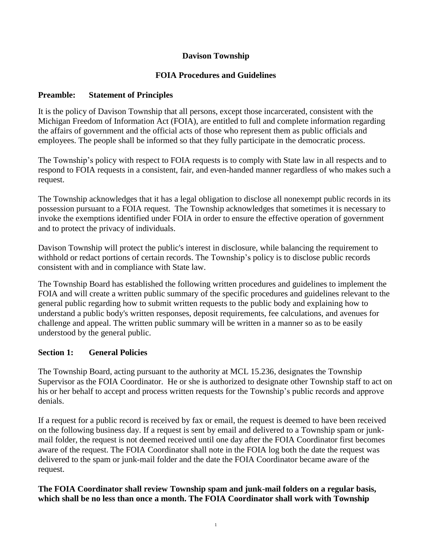# **Davison Township**

# **FOIA Procedures and Guidelines**

# **Preamble: Statement of Principles**

It is the policy of Davison Township that all persons, except those incarcerated, consistent with the Michigan Freedom of Information Act (FOIA), are entitled to full and complete information regarding the affairs of government and the official acts of those who represent them as public officials and employees. The people shall be informed so that they fully participate in the democratic process.

The Township's policy with respect to FOIA requests is to comply with State law in all respects and to respond to FOIA requests in a consistent, fair, and even-handed manner regardless of who makes such a request.

The Township acknowledges that it has a legal obligation to disclose all nonexempt public records in its possession pursuant to a FOIA request. The Township acknowledges that sometimes it is necessary to invoke the exemptions identified under FOIA in order to ensure the effective operation of government and to protect the privacy of individuals.

Davison Township will protect the public's interest in disclosure, while balancing the requirement to withhold or redact portions of certain records. The Township's policy is to disclose public records consistent with and in compliance with State law.

The Township Board has established the following written procedures and guidelines to implement the FOIA and will create a written public summary of the specific procedures and guidelines relevant to the general public regarding how to submit written requests to the public body and explaining how to understand a public body's written responses, deposit requirements, fee calculations, and avenues for challenge and appeal. The written public summary will be written in a manner so as to be easily understood by the general public.

# **Section 1: General Policies**

The Township Board, acting pursuant to the authority at MCL 15.236, designates the Township Supervisor as the FOIA Coordinator. He or she is authorized to designate other Township staff to act on his or her behalf to accept and process written requests for the Township's public records and approve denials.

If a request for a public record is received by fax or email, the request is deemed to have been received on the following business day. If a request is sent by email and delivered to a Township spam or junkmail folder, the request is not deemed received until one day after the FOIA Coordinator first becomes aware of the request. The FOIA Coordinator shall note in the FOIA log both the date the request was delivered to the spam or junk-mail folder and the date the FOIA Coordinator became aware of the request.

**The FOIA Coordinator shall review Township spam and junk-mail folders on a regular basis, which shall be no less than once a month. The FOIA Coordinator shall work with Township**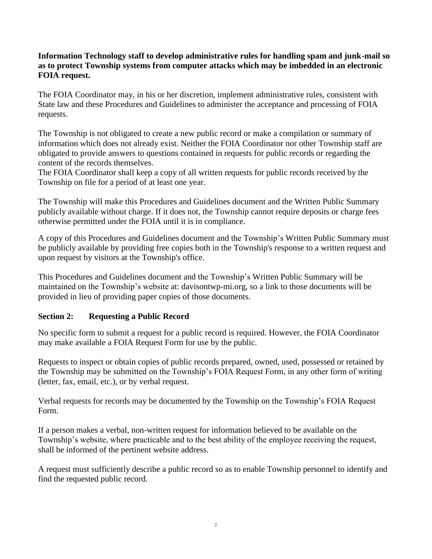#### **Information Technology staff to develop administrative rules for handling spam and junk-mail so as to protect Township systems from computer attacks which may be imbedded in an electronic FOIA request.**

The FOIA Coordinator may, in his or her discretion, implement administrative rules, consistent with State law and these Procedures and Guidelines to administer the acceptance and processing of FOIA requests.

The Township is not obligated to create a new public record or make a compilation or summary of information which does not already exist. Neither the FOIA Coordinator nor other Township staff are obligated to provide answers to questions contained in requests for public records or regarding the content of the records themselves.

The FOIA Coordinator shall keep a copy of all written requests for public records received by the Township on file for a period of at least one year.

The Township will make this Procedures and Guidelines document and the Written Public Summary publicly available without charge. If it does not, the Township cannot require deposits or charge fees otherwise permitted under the FOIA until it is in compliance.

A copy of this Procedures and Guidelines document and the Township's Written Public Summary must be publicly available by providing free copies both in the Township's response to a written request and upon request by visitors at the Township's office.

This Procedures and Guidelines document and the Township's Written Public Summary will be maintained on the Township's website at: davisontwp-mi.org, so a link to those documents will be provided in lieu of providing paper copies of those documents.

# **Section 2: Requesting a Public Record**

No specific form to submit a request for a public record is required. However, the FOIA Coordinator may make available a FOIA Request Form for use by the public.

Requests to inspect or obtain copies of public records prepared, owned, used, possessed or retained by the Township may be submitted on the Township's FOIA Request Form, in any other form of writing (letter, fax, email, etc.), or by verbal request.

Verbal requests for records may be documented by the Township on the Township's FOIA Request Form.

If a person makes a verbal, non-written request for information believed to be available on the Township's website, where practicable and to the best ability of the employee receiving the request, shall be informed of the pertinent website address.

A request must sufficiently describe a public record so as to enable Township personnel to identify and find the requested public record.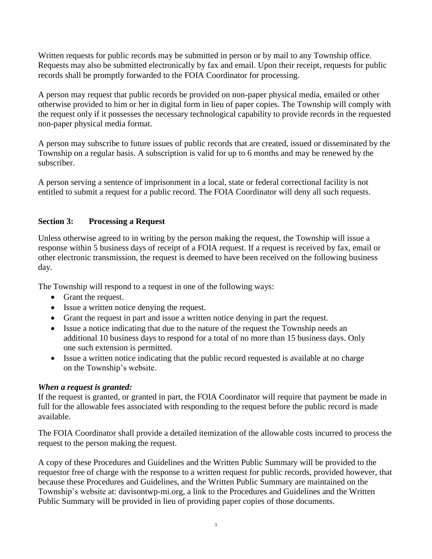Written requests for public records may be submitted in person or by mail to any Township office. Requests may also be submitted electronically by fax and email. Upon their receipt, requests for public records shall be promptly forwarded to the FOIA Coordinator for processing.

A person may request that public records be provided on non-paper physical media, emailed or other otherwise provided to him or her in digital form in lieu of paper copies. The Township will comply with the request only if it possesses the necessary technological capability to provide records in the requested non-paper physical media format.

A person may subscribe to future issues of public records that are created, issued or disseminated by the Township on a regular basis. A subscription is valid for up to 6 months and may be renewed by the subscriber.

A person serving a sentence of imprisonment in a local, state or federal correctional facility is not entitled to submit a request for a public record. The FOIA Coordinator will deny all such requests.

# **Section 3: Processing a Request**

Unless otherwise agreed to in writing by the person making the request, the Township will issue a response within 5 business days of receipt of a FOIA request. If a request is received by fax, email or other electronic transmission, the request is deemed to have been received on the following business day.

The Township will respond to a request in one of the following ways:

- Grant the request.
- Issue a written notice denying the request.
- Grant the request in part and issue a written notice denying in part the request.
- Issue a notice indicating that due to the nature of the request the Township needs an additional 10 business days to respond for a total of no more than 15 business days. Only one such extension is permitted.
- Issue a written notice indicating that the public record requested is available at no charge on the Township's website.

# *When a request is granted:*

If the request is granted, or granted in part, the FOIA Coordinator will require that payment be made in full for the allowable fees associated with responding to the request before the public record is made available.

The FOIA Coordinator shall provide a detailed itemization of the allowable costs incurred to process the request to the person making the request.

A copy of these Procedures and Guidelines and the Written Public Summary will be provided to the requestor free of charge with the response to a written request for public records, provided however, that because these Procedures and Guidelines, and the Written Public Summary are maintained on the Township's website at: davisontwp-mi.org, a link to the Procedures and Guidelines and the Written Public Summary will be provided in lieu of providing paper copies of those documents.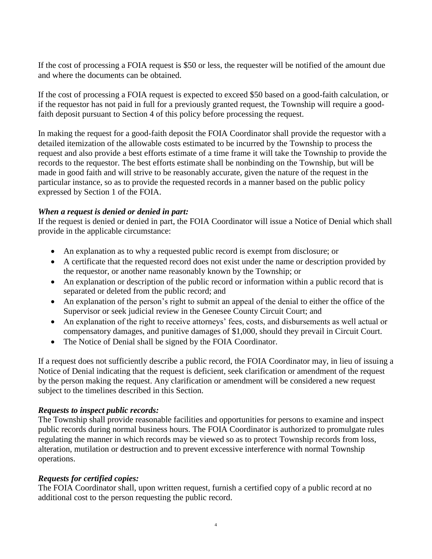If the cost of processing a FOIA request is \$50 or less, the requester will be notified of the amount due and where the documents can be obtained.

If the cost of processing a FOIA request is expected to exceed \$50 based on a good-faith calculation, or if the requestor has not paid in full for a previously granted request, the Township will require a goodfaith deposit pursuant to Section 4 of this policy before processing the request.

In making the request for a good-faith deposit the FOIA Coordinator shall provide the requestor with a detailed itemization of the allowable costs estimated to be incurred by the Township to process the request and also provide a best efforts estimate of a time frame it will take the Township to provide the records to the requestor. The best efforts estimate shall be nonbinding on the Township, but will be made in good faith and will strive to be reasonably accurate, given the nature of the request in the particular instance, so as to provide the requested records in a manner based on the public policy expressed by Section 1 of the FOIA.

#### *When a request is denied or denied in part:*

If the request is denied or denied in part, the FOIA Coordinator will issue a Notice of Denial which shall provide in the applicable circumstance:

- An explanation as to why a requested public record is exempt from disclosure; or
- A certificate that the requested record does not exist under the name or description provided by the requestor, or another name reasonably known by the Township; or
- An explanation or description of the public record or information within a public record that is separated or deleted from the public record; and
- An explanation of the person's right to submit an appeal of the denial to either the office of the Supervisor or seek judicial review in the Genesee County Circuit Court; and
- An explanation of the right to receive attorneys' fees, costs, and disbursements as well actual or compensatory damages, and punitive damages of \$1,000, should they prevail in Circuit Court.
- The Notice of Denial shall be signed by the FOIA Coordinator.

If a request does not sufficiently describe a public record, the FOIA Coordinator may, in lieu of issuing a Notice of Denial indicating that the request is deficient, seek clarification or amendment of the request by the person making the request. Any clarification or amendment will be considered a new request subject to the timelines described in this Section.

#### *Requests to inspect public records:*

The Township shall provide reasonable facilities and opportunities for persons to examine and inspect public records during normal business hours. The FOIA Coordinator is authorized to promulgate rules regulating the manner in which records may be viewed so as to protect Township records from loss, alteration, mutilation or destruction and to prevent excessive interference with normal Township operations.

#### *Requests for certified copies:*

The FOIA Coordinator shall, upon written request, furnish a certified copy of a public record at no additional cost to the person requesting the public record.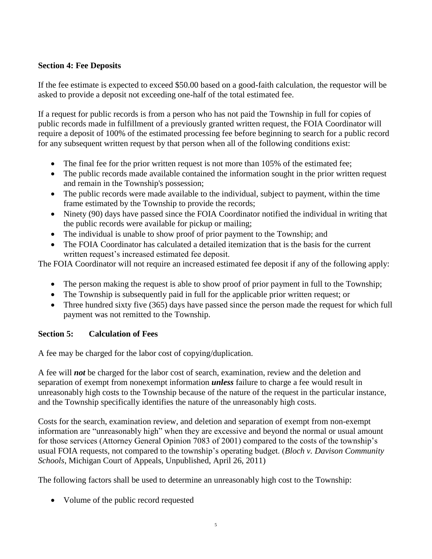# **Section 4: Fee Deposits**

If the fee estimate is expected to exceed \$50.00 based on a good-faith calculation, the requestor will be asked to provide a deposit not exceeding one-half of the total estimated fee.

If a request for public records is from a person who has not paid the Township in full for copies of public records made in fulfillment of a previously granted written request, the FOIA Coordinator will require a deposit of 100% of the estimated processing fee before beginning to search for a public record for any subsequent written request by that person when all of the following conditions exist:

- The final fee for the prior written request is not more than 105% of the estimated fee;
- The public records made available contained the information sought in the prior written request and remain in the Township's possession;
- The public records were made available to the individual, subject to payment, within the time frame estimated by the Township to provide the records;
- Ninety (90) days have passed since the FOIA Coordinator notified the individual in writing that the public records were available for pickup or mailing;
- The individual is unable to show proof of prior payment to the Township; and
- The FOIA Coordinator has calculated a detailed itemization that is the basis for the current written request's increased estimated fee deposit.

The FOIA Coordinator will not require an increased estimated fee deposit if any of the following apply:

- The person making the request is able to show proof of prior payment in full to the Township;
- The Township is subsequently paid in full for the applicable prior written request; or
- Three hundred sixty five (365) days have passed since the person made the request for which full payment was not remitted to the Township.

# **Section 5: Calculation of Fees**

A fee may be charged for the labor cost of copying/duplication.

A fee will *not* be charged for the labor cost of search, examination, review and the deletion and separation of exempt from nonexempt information *unless* failure to charge a fee would result in unreasonably high costs to the Township because of the nature of the request in the particular instance, and the Township specifically identifies the nature of the unreasonably high costs.

Costs for the search, examination review, and deletion and separation of exempt from non-exempt information are "unreasonably high" when they are excessive and beyond the normal or usual amount for those services (Attorney General Opinion 7083 of 2001) compared to the costs of the township's usual FOIA requests, not compared to the township's operating budget. (*Bloch v. Davison Community Schools*, Michigan Court of Appeals, Unpublished, April 26, 2011)

The following factors shall be used to determine an unreasonably high cost to the Township:

• Volume of the public record requested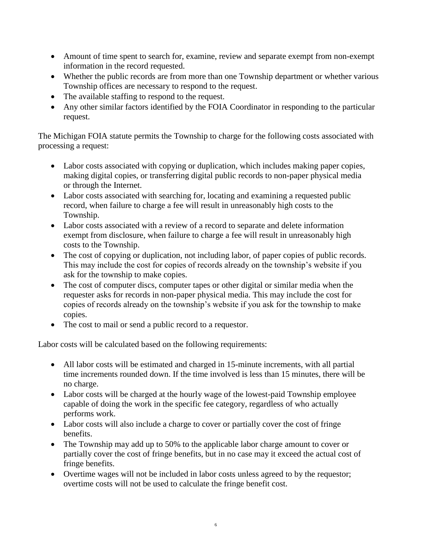- Amount of time spent to search for, examine, review and separate exempt from non-exempt information in the record requested.
- Whether the public records are from more than one Township department or whether various Township offices are necessary to respond to the request.
- The available staffing to respond to the request.
- Any other similar factors identified by the FOIA Coordinator in responding to the particular request.

The Michigan FOIA statute permits the Township to charge for the following costs associated with processing a request:

- Labor costs associated with copying or duplication, which includes making paper copies, making digital copies, or transferring digital public records to non-paper physical media or through the Internet.
- Labor costs associated with searching for, locating and examining a requested public record, when failure to charge a fee will result in unreasonably high costs to the Township.
- Labor costs associated with a review of a record to separate and delete information exempt from disclosure, when failure to charge a fee will result in unreasonably high costs to the Township.
- The cost of copying or duplication, not including labor, of paper copies of public records. This may include the cost for copies of records already on the township's website if you ask for the township to make copies.
- The cost of computer discs, computer tapes or other digital or similar media when the requester asks for records in non-paper physical media. This may include the cost for copies of records already on the township's website if you ask for the township to make copies.
- The cost to mail or send a public record to a requestor.

Labor costs will be calculated based on the following requirements:

- All labor costs will be estimated and charged in 15-minute increments, with all partial time increments rounded down. If the time involved is less than 15 minutes, there will be no charge.
- Labor costs will be charged at the hourly wage of the lowest-paid Township employee capable of doing the work in the specific fee category, regardless of who actually performs work.
- Labor costs will also include a charge to cover or partially cover the cost of fringe benefits.
- The Township may add up to 50% to the applicable labor charge amount to cover or partially cover the cost of fringe benefits, but in no case may it exceed the actual cost of fringe benefits.
- Overtime wages will not be included in labor costs unless agreed to by the requestor; overtime costs will not be used to calculate the fringe benefit cost.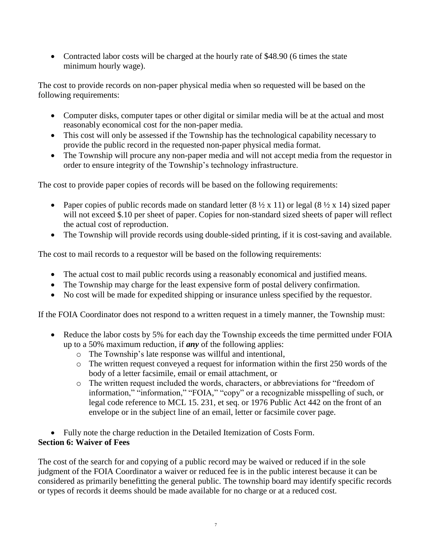• Contracted labor costs will be charged at the hourly rate of \$48.90 (6 times the state minimum hourly wage).

The cost to provide records on non-paper physical media when so requested will be based on the following requirements:

- Computer disks, computer tapes or other digital or similar media will be at the actual and most reasonably economical cost for the non-paper media.
- This cost will only be assessed if the Township has the technological capability necessary to provide the public record in the requested non-paper physical media format.
- The Township will procure any non-paper media and will not accept media from the requestor in order to ensure integrity of the Township's technology infrastructure.

The cost to provide paper copies of records will be based on the following requirements:

- Paper copies of public records made on standard letter  $(8 \frac{1}{2} \times 11)$  or legal  $(8 \frac{1}{2} \times 14)$  sized paper will not exceed \$.10 per sheet of paper. Copies for non-standard sized sheets of paper will reflect the actual cost of reproduction.
- The Township will provide records using double-sided printing, if it is cost-saving and available.

The cost to mail records to a requestor will be based on the following requirements:

- The actual cost to mail public records using a reasonably economical and justified means.
- The Township may charge for the least expensive form of postal delivery confirmation.
- No cost will be made for expedited shipping or insurance unless specified by the requestor.

If the FOIA Coordinator does not respond to a written request in a timely manner, the Township must:

- Reduce the labor costs by 5% for each day the Township exceeds the time permitted under FOIA up to a 50% maximum reduction, if *any* of the following applies:
	- o The Township's late response was willful and intentional,
	- o The written request conveyed a request for information within the first 250 words of the body of a letter facsimile, email or email attachment, or
	- o The written request included the words, characters, or abbreviations for "freedom of information," "information," "FOIA," "copy" or a recognizable misspelling of such, or legal code reference to MCL 15. 231, et seq. or 1976 Public Act 442 on the front of an envelope or in the subject line of an email, letter or facsimile cover page.

• Fully note the charge reduction in the Detailed Itemization of Costs Form. **Section 6: Waiver of Fees**

The cost of the search for and copying of a public record may be waived or reduced if in the sole judgment of the FOIA Coordinator a waiver or reduced fee is in the public interest because it can be considered as primarily benefitting the general public. The township board may identify specific records or types of records it deems should be made available for no charge or at a reduced cost.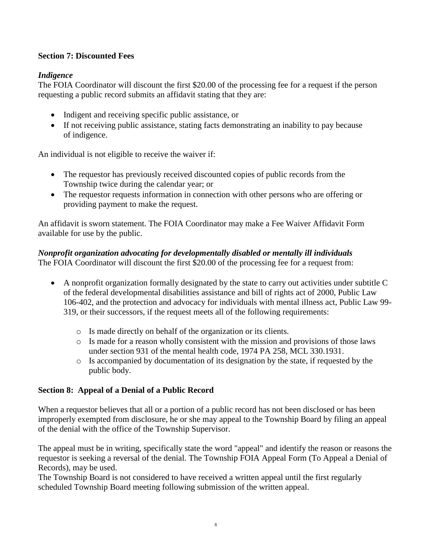# **Section 7: Discounted Fees**

# *Indigence*

The FOIA Coordinator will discount the first \$20.00 of the processing fee for a request if the person requesting a public record submits an affidavit stating that they are:

- Indigent and receiving specific public assistance, or
- If not receiving public assistance, stating facts demonstrating an inability to pay because of indigence.

An individual is not eligible to receive the waiver if:

- The requestor has previously received discounted copies of public records from the Township twice during the calendar year; or
- The requestor requests information in connection with other persons who are offering or providing payment to make the request.

An affidavit is sworn statement. The FOIA Coordinator may make a Fee Waiver Affidavit Form available for use by the public.

# *Nonprofit organization advocating for developmentally disabled or mentally ill individuals*

The FOIA Coordinator will discount the first \$20.00 of the processing fee for a request from:

- A nonprofit organization formally designated by the state to carry out activities under subtitle C of the federal developmental disabilities assistance and bill of rights act of 2000, Public Law 106-402, and the protection and advocacy for individuals with mental illness act, Public Law 99- 319, or their successors, if the request meets all of the following requirements:
	- o Is made directly on behalf of the organization or its clients.
	- o Is made for a reason wholly consistent with the mission and provisions of those laws under section 931 of the mental health code, 1974 PA 258, MCL 330.1931.
	- o Is accompanied by documentation of its designation by the state, if requested by the public body.

# **Section 8: Appeal of a Denial of a Public Record**

When a requestor believes that all or a portion of a public record has not been disclosed or has been improperly exempted from disclosure, he or she may appeal to the Township Board by filing an appeal of the denial with the office of the Township Supervisor.

The appeal must be in writing, specifically state the word "appeal" and identify the reason or reasons the requestor is seeking a reversal of the denial. The Township FOIA Appeal Form (To Appeal a Denial of Records), may be used.

The Township Board is not considered to have received a written appeal until the first regularly scheduled Township Board meeting following submission of the written appeal.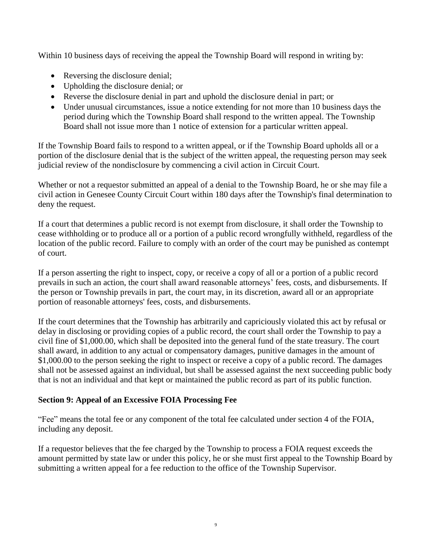Within 10 business days of receiving the appeal the Township Board will respond in writing by:

- Reversing the disclosure denial;
- Upholding the disclosure denial; or
- Reverse the disclosure denial in part and uphold the disclosure denial in part; or
- Under unusual circumstances, issue a notice extending for not more than 10 business days the period during which the Township Board shall respond to the written appeal. The Township Board shall not issue more than 1 notice of extension for a particular written appeal.

If the Township Board fails to respond to a written appeal, or if the Township Board upholds all or a portion of the disclosure denial that is the subject of the written appeal, the requesting person may seek judicial review of the nondisclosure by commencing a civil action in Circuit Court.

Whether or not a requestor submitted an appeal of a denial to the Township Board, he or she may file a civil action in Genesee County Circuit Court within 180 days after the Township's final determination to deny the request.

If a court that determines a public record is not exempt from disclosure, it shall order the Township to cease withholding or to produce all or a portion of a public record wrongfully withheld, regardless of the location of the public record. Failure to comply with an order of the court may be punished as contempt of court.

If a person asserting the right to inspect, copy, or receive a copy of all or a portion of a public record prevails in such an action, the court shall award reasonable attorneys' fees, costs, and disbursements. If the person or Township prevails in part, the court may, in its discretion, award all or an appropriate portion of reasonable attorneys' fees, costs, and disbursements.

If the court determines that the Township has arbitrarily and capriciously violated this act by refusal or delay in disclosing or providing copies of a public record, the court shall order the Township to pay a civil fine of \$1,000.00, which shall be deposited into the general fund of the state treasury. The court shall award, in addition to any actual or compensatory damages, punitive damages in the amount of \$1,000.00 to the person seeking the right to inspect or receive a copy of a public record. The damages shall not be assessed against an individual, but shall be assessed against the next succeeding public body that is not an individual and that kept or maintained the public record as part of its public function.

# **Section 9: Appeal of an Excessive FOIA Processing Fee**

"Fee" means the total fee or any component of the total fee calculated under section 4 of the FOIA, including any deposit.

If a requestor believes that the fee charged by the Township to process a FOIA request exceeds the amount permitted by state law or under this policy, he or she must first appeal to the Township Board by submitting a written appeal for a fee reduction to the office of the Township Supervisor.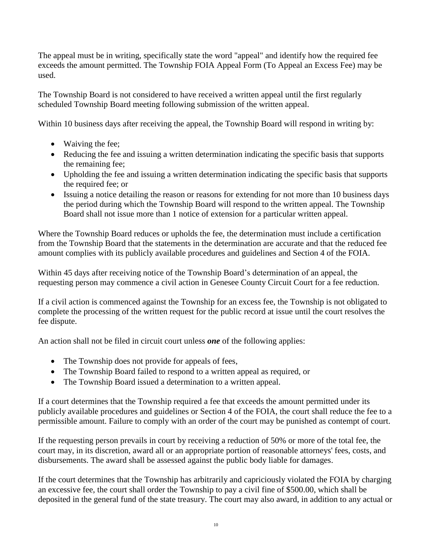The appeal must be in writing, specifically state the word "appeal" and identify how the required fee exceeds the amount permitted. The Township FOIA Appeal Form (To Appeal an Excess Fee) may be used.

The Township Board is not considered to have received a written appeal until the first regularly scheduled Township Board meeting following submission of the written appeal.

Within 10 business days after receiving the appeal, the Township Board will respond in writing by:

- Waiving the fee:
- Reducing the fee and issuing a written determination indicating the specific basis that supports the remaining fee;
- Upholding the fee and issuing a written determination indicating the specific basis that supports the required fee; or
- Issuing a notice detailing the reason or reasons for extending for not more than 10 business days the period during which the Township Board will respond to the written appeal. The Township Board shall not issue more than 1 notice of extension for a particular written appeal.

Where the Township Board reduces or upholds the fee, the determination must include a certification from the Township Board that the statements in the determination are accurate and that the reduced fee amount complies with its publicly available procedures and guidelines and Section 4 of the FOIA.

Within 45 days after receiving notice of the Township Board's determination of an appeal, the requesting person may commence a civil action in Genesee County Circuit Court for a fee reduction.

If a civil action is commenced against the Township for an excess fee, the Township is not obligated to complete the processing of the written request for the public record at issue until the court resolves the fee dispute.

An action shall not be filed in circuit court unless *one* of the following applies:

- The Township does not provide for appeals of fees,
- The Township Board failed to respond to a written appeal as required, or
- The Township Board issued a determination to a written appeal.

If a court determines that the Township required a fee that exceeds the amount permitted under its publicly available procedures and guidelines or Section 4 of the FOIA, the court shall reduce the fee to a permissible amount. Failure to comply with an order of the court may be punished as contempt of court.

If the requesting person prevails in court by receiving a reduction of 50% or more of the total fee, the court may, in its discretion, award all or an appropriate portion of reasonable attorneys' fees, costs, and disbursements. The award shall be assessed against the public body liable for damages.

If the court determines that the Township has arbitrarily and capriciously violated the FOIA by charging an excessive fee, the court shall order the Township to pay a civil fine of \$500.00, which shall be deposited in the general fund of the state treasury. The court may also award, in addition to any actual or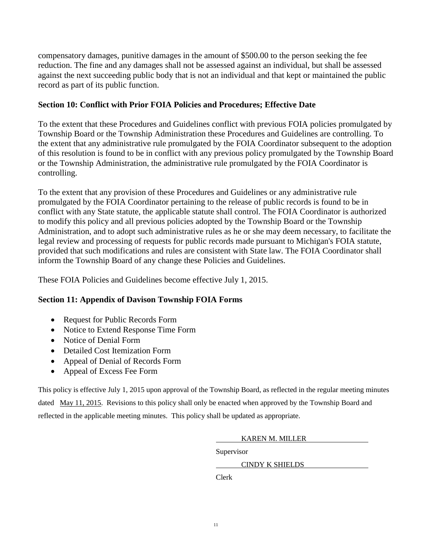compensatory damages, punitive damages in the amount of \$500.00 to the person seeking the fee reduction. The fine and any damages shall not be assessed against an individual, but shall be assessed against the next succeeding public body that is not an individual and that kept or maintained the public record as part of its public function.

#### **Section 10: Conflict with Prior FOIA Policies and Procedures; Effective Date**

To the extent that these Procedures and Guidelines conflict with previous FOIA policies promulgated by Township Board or the Township Administration these Procedures and Guidelines are controlling. To the extent that any administrative rule promulgated by the FOIA Coordinator subsequent to the adoption of this resolution is found to be in conflict with any previous policy promulgated by the Township Board or the Township Administration, the administrative rule promulgated by the FOIA Coordinator is controlling.

To the extent that any provision of these Procedures and Guidelines or any administrative rule promulgated by the FOIA Coordinator pertaining to the release of public records is found to be in conflict with any State statute, the applicable statute shall control. The FOIA Coordinator is authorized to modify this policy and all previous policies adopted by the Township Board or the Township Administration, and to adopt such administrative rules as he or she may deem necessary, to facilitate the legal review and processing of requests for public records made pursuant to Michigan's FOIA statute, provided that such modifications and rules are consistent with State law. The FOIA Coordinator shall inform the Township Board of any change these Policies and Guidelines.

These FOIA Policies and Guidelines become effective July 1, 2015.

# **Section 11: Appendix of Davison Township FOIA Forms**

- Request for Public Records Form
- Notice to Extend Response Time Form
- Notice of Denial Form
- Detailed Cost Itemization Form
- Appeal of Denial of Records Form
- Appeal of Excess Fee Form

This policy is effective July 1, 2015 upon approval of the Township Board, as reflected in the regular meeting minutes dated May 11, 2015. Revisions to this policy shall only be enacted when approved by the Township Board and reflected in the applicable meeting minutes. This policy shall be updated as appropriate.

KAREN M. MILLER

Supervisor

CINDY K SHIELDS

Clerk